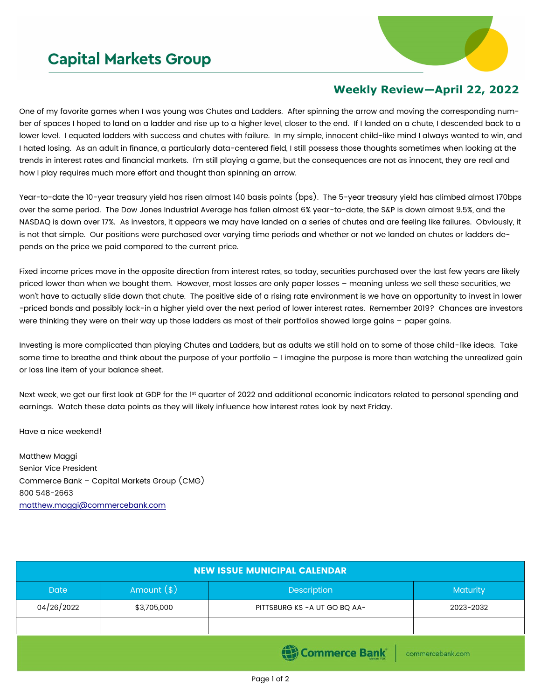## **Capital Markets Group**



## **Weekly Review—April 22, 2022**

One of my favorite games when I was young was Chutes and Ladders. After spinning the arrow and moving the corresponding number of spaces I hoped to land on a ladder and rise up to a higher level, closer to the end. If I landed on a chute, I descended back to a lower level. I equated ladders with success and chutes with failure. In my simple, innocent child-like mind I always wanted to win, and I hated losing. As an adult in finance, a particularly data-centered field, I still possess those thoughts sometimes when looking at the trends in interest rates and financial markets. I'm still playing a game, but the consequences are not as innocent, they are real and how I play requires much more effort and thought than spinning an arrow.

Year-to-date the 10-year treasury yield has risen almost 140 basis points (bps). The 5-year treasury yield has climbed almost 170bps over the same period. The Dow Jones Industrial Average has fallen almost 6% year-to-date, the S&P is down almost 9.5%, and the NASDAQ is down over 17%. As investors, it appears we may have landed on a series of chutes and are feeling like failures. Obviously, it is not that simple. Our positions were purchased over varying time periods and whether or not we landed on chutes or ladders depends on the price we paid compared to the current price.

Fixed income prices move in the opposite direction from interest rates, so today, securities purchased over the last few years are likely priced lower than when we bought them. However, most losses are only paper losses – meaning unless we sell these securities, we won't have to actually slide down that chute. The positive side of a rising rate environment is we have an opportunity to invest in lower -priced bonds and possibly lock-in a higher yield over the next period of lower interest rates. Remember 2019? Chances are investors were thinking they were on their way up those ladders as most of their portfolios showed large gains - paper gains.

Investing is more complicated than playing Chutes and Ladders, but as adults we still hold on to some of those child-like ideas. Take some time to breathe and think about the purpose of your portfolio - I imagine the purpose is more than watching the unrealized gain or loss line item of your balance sheet.

Next week, we get our first look at GDP for the 1st quarter of 2022 and additional economic indicators related to personal spending and earnings. Watch these data points as they will likely influence how interest rates look by next Friday.

Have a nice weekend!

Matthew Maggi Senior Vice President Commerce Bank – Capital Markets Group (CMG) 800 548-2663 [matthew.maggi@commercebank.com](mailto:matthew.maggi@commercebank.com)

| <b>NEW ISSUE MUNICIPAL CALENDAR</b>      |              |                               |           |  |  |  |
|------------------------------------------|--------------|-------------------------------|-----------|--|--|--|
| <b>Date</b>                              | Amount $(*)$ | <b>Description</b>            | Maturity  |  |  |  |
| 04/26/2022                               | \$3,705,000  | PITTSBURG KS - A UT GO BQ AA- | 2023-2032 |  |  |  |
|                                          |              |                               |           |  |  |  |
| <b>Commerce Bank</b><br>commercebank.com |              |                               |           |  |  |  |